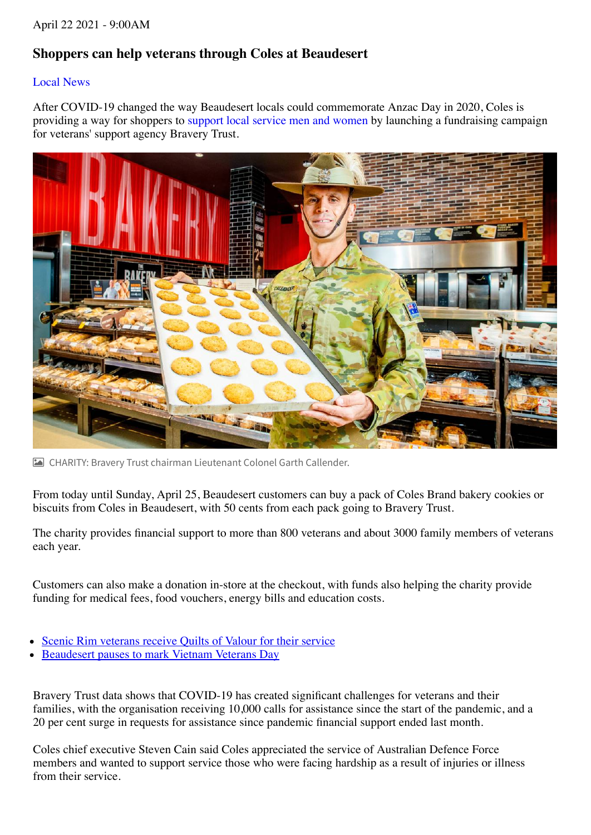## **Shoppers can help veterans through Coles at Beaudesert**

## [Local News](https://www.beaudeserttimes.com.au/news/local-news/)

After COVID-19 changed the way Beaudesert locals could commemorate Anzac Day in 2020, Coles is providing a way for shoppers to [support local service men and women b](https://www.beaudeserttimes.com.au/story/7212033/anzac-day-in-the-scenic-rim/)y launching a fundraising campaign for veterans' support agency Bravery Trust.



CHARITY: Bravery Trust chairman Lieutenant Colonel Garth Callender.

From today until Sunday, April 25, Beaudesert customers can buy a pack of Coles Brand bakery cookies or biscuits from Coles in Beaudesert, with 50 cents from each pack going to Bravery Trust.

The charity provides financial support to more than 800 veterans and about 3000 family members of veterans each year.

Customers can also make a donation in-store at the checkout, with funds also helping the charity provide funding for medical fees, food vouchers, energy bills and education costs.

- Scenic Rim veterans receive Quilts of Valour for their service
- Beaudesert pauses to mark Vietnam Veterans Day

Bravery Trust data shows that COVID-19 has created significant challenges for veterans and their families, with the organisation receiving 10,000 calls for assistance since the start of the pandemic, and a 20 per cent surge in requests for assistance since pandemic financial support ended last month.

Coles chief executive Steven Cain said Coles appreciated the service of Australian Defence Force members and wanted to support service those who were facing hardship as a result of injuries or illness from their service.